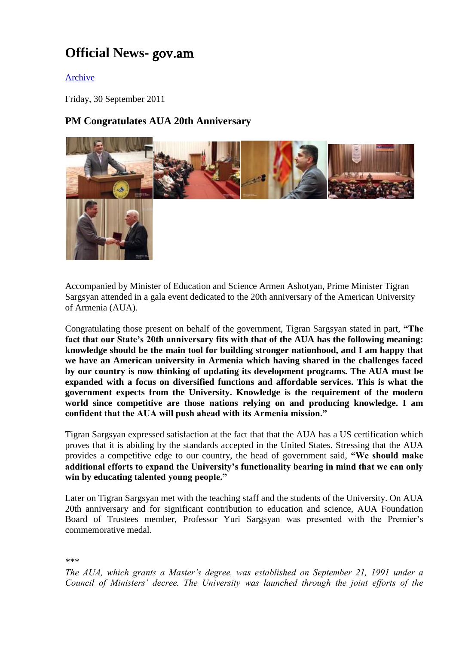## **Official News-** gov.am

## [Archive](http://www.gov.am/en/news/item/5872/)

Friday, 30 September 2011

## **PM Congratulates AUA 20th Anniversary**



Accompanied by Minister of Education and Science Armen Ashotyan, Prime Minister Tigran Sargsyan attended in a gala event dedicated to the 20th anniversary of the American University of Armenia (AUA).

Congratulating those present on behalf of the government, Tigran Sargsyan stated in part, **"The fact that our State's 20th anniversary fits with that of the AUA has the following meaning: knowledge should be the main tool for building stronger nationhood, and I am happy that we have an American university in Armenia which having shared in the challenges faced by our country is now thinking of updating its development programs. The AUA must be expanded with a focus on diversified functions and affordable services. This is what the government expects from the University. Knowledge is the requirement of the modern world since competitive are those nations relying on and producing knowledge. I am confident that the AUA will push ahead with its Armenia mission."** 

Tigran Sargsyan expressed satisfaction at the fact that that the AUA has a US certification which proves that it is abiding by the standards accepted in the United States. Stressing that the AUA provides a competitive edge to our country, the head of government said, **"We should make additional efforts to expand the University's functionality bearing in mind that we can only win by educating talented young people."**

Later on Tigran Sargsyan met with the teaching staff and the students of the University. On AUA 20th anniversary and for significant contribution to education and science, AUA Foundation Board of Trustees member, Professor Yuri Sargsyan was presented with the Premier's commemorative medal.

*\*\*\**

*The AUA, which grants a Master's degree, was established on September 21, 1991 under a Council of Ministers' decree. The University was launched through the joint efforts of the*